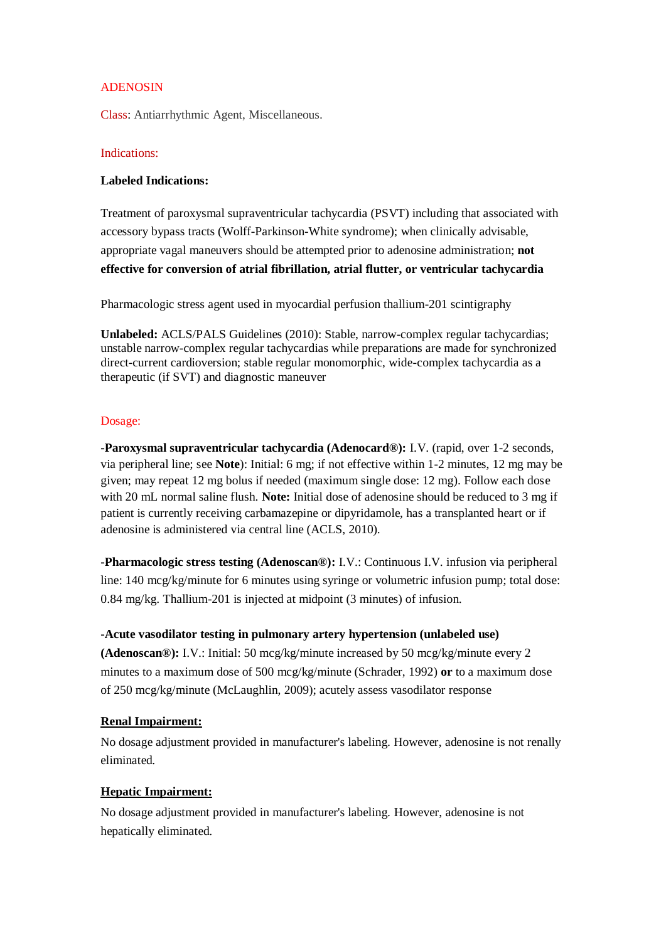# ADENOSIN

Class: Antiarrhythmic Agent, Miscellaneous.

### Indications:

### **Labeled Indications:**

Treatment of paroxysmal supraventricular tachycardia (PSVT) including that associated with accessory bypass tracts (Wolff-Parkinson-White syndrome); when clinically advisable, appropriate vagal maneuvers should be attempted prior to adenosine administration; **not effective for conversion of atrial fibrillation, atrial flutter, or ventricular tachycardia**

Pharmacologic stress agent used in myocardial perfusion thallium-201 scintigraphy

**Unlabeled:** ACLS/PALS Guidelines (2010): Stable, narrow-complex regular tachycardias; unstable narrow-complex regular tachycardias while preparations are made for synchronized direct-current cardioversion; stable regular monomorphic, wide-complex tachycardia as a therapeutic (if SVT) and diagnostic maneuver

#### Dosage:

**-Paroxysmal supraventricular tachycardia (Adenocard®):** I.V. (rapid, over 1-2 seconds, via peripheral line; see **Note**): Initial: 6 mg; if not effective within 1-2 minutes, 12 mg may be given; may repeat 12 mg bolus if needed (maximum single dose: 12 mg). Follow each dose with 20 mL normal saline flush. **Note:** Initial dose of adenosine should be reduced to 3 mg if patient is currently receiving carbamazepine or dipyridamole, has a transplanted heart or if adenosine is administered via central line (ACLS, 2010).

**-Pharmacologic stress testing (Adenoscan®):** I.V.: Continuous I.V. infusion via peripheral line: 140 mcg/kg/minute for 6 minutes using syringe or volumetric infusion pump; total dose: 0.84 mg/kg. Thallium-201 is injected at midpoint (3 minutes) of infusion.

# **-Acute vasodilator testing in pulmonary artery hypertension (unlabeled use)**

**(Adenoscan®):** I.V.: Initial: 50 mcg/kg/minute increased by 50 mcg/kg/minute every 2 minutes to a maximum dose of 500 mcg/kg/minute (Schrader, 1992) **or** to a maximum dose of 250 mcg/kg/minute (McLaughlin, 2009); acutely assess vasodilator response

# **Renal Impairment:**

No dosage adjustment provided in manufacturer's labeling. However, adenosine is not renally eliminated.

# **Hepatic Impairment:**

No dosage adjustment provided in manufacturer's labeling. However, adenosine is not hepatically eliminated.